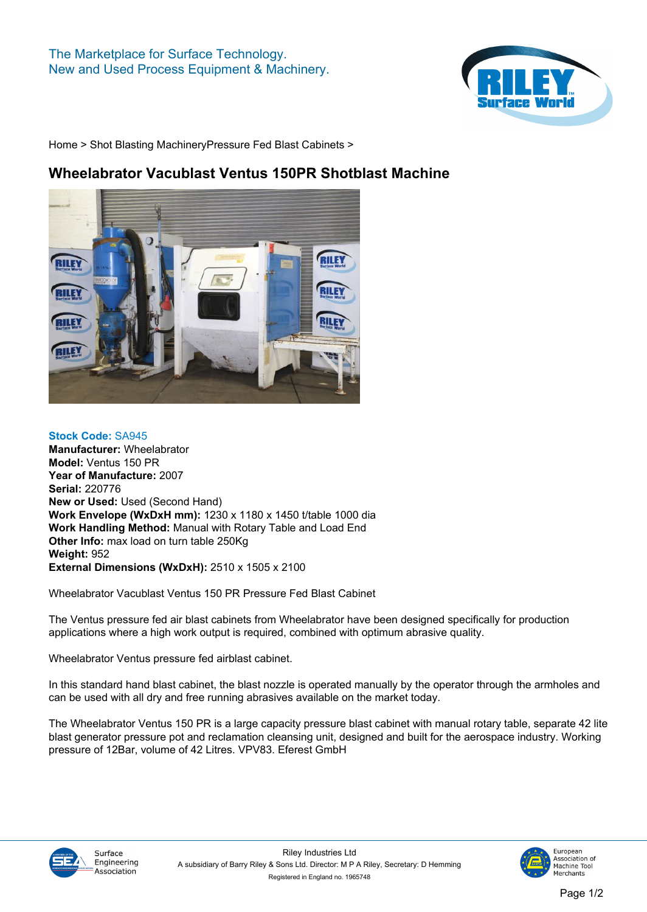## **The Marketplace for Surface Technology. New and Used Process Equipment & Machinery.**



**[Home](https://www.rileysurfaceworld.co.uk) > [Shot Blasting Machinery](https://www.rileysurfaceworld.co.uk/shot-blasting.asp)[Pressure Fed Blast Cabinets](https://www.rileysurfaceworld.co.uk/shot-pressure.asp) >**

## **Wheelabrator Vacublast Ventus 150PR Shotblast Machine**



**Stock Code: SA945 Manufacturer: Wheelabrator Model: Ventus 150 PR Year of Manufacture: 2007 Serial: 220776 New or Used: Used (Second Hand) Work Envelope (WxDxH mm): 1230 x 1180 x 1450 t/table 1000 dia Work Handling Method: Manual with Rotary Table and Load End Other Info: max load on turn table 250Kg Weight: 952 External Dimensions (WxDxH): 2510 x 1505 x 2100**

**Wheelabrator Vacublast Ventus 150 PR Pressure Fed Blast Cabinet**

**The Ventus pressure fed air blast cabinets from Wheelabrator have been designed specifically for production applications where a high work output is required, combined with optimum abrasive quality.**

**Wheelabrator Ventus pressure fed airblast cabinet.**

**In this standard hand blast cabinet, the blast nozzle is operated manually by the operator through the armholes and can be used with all dry and free running abrasives available on the market today.**

**The Wheelabrator Ventus 150 PR is a large capacity pressure blast cabinet with manual rotary table, separate 42 lite blast generator pressure pot and reclamation cleansing unit, designed and built for the aerospace industry. Working pressure of 12Bar, volume of 42 Litres. VPV83. Eferest GmbH**